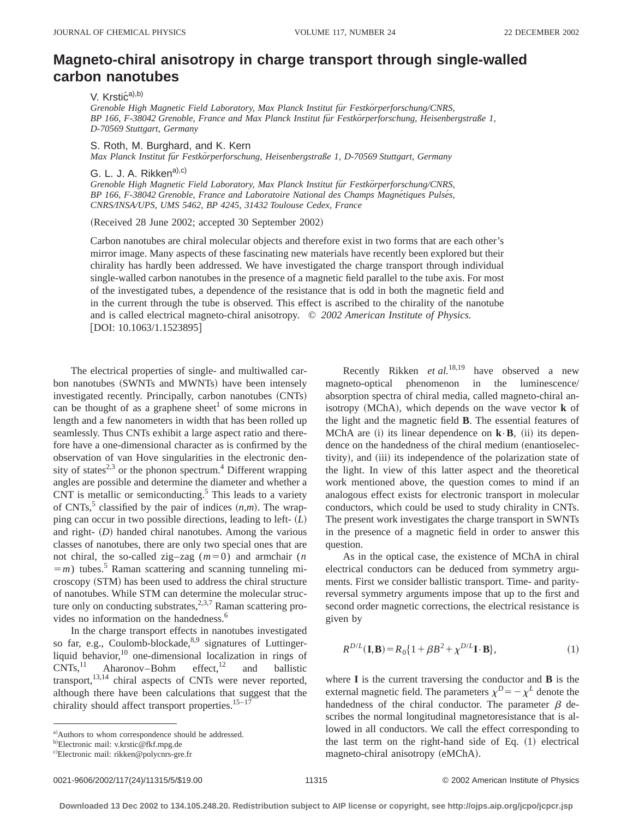## **Magneto-chiral anisotropy in charge transport through single-walled carbon nanotubes**

V. Krstić<sup>a),b)</sup>

*Grenoble High Magnetic Field Laboratory, Max Planck Institut fu¨r Festko¨rperforschung/CNRS, BP 166, F-38042 Grenoble, France and Max Planck Institut fu¨r Festko¨rperforschung, Heisenbergstraße 1, D-70569 Stuttgart, Germany*

S. Roth, M. Burghard, and K. Kern

*Max Planck Institut fu¨r Festko¨rperforschung, Heisenbergstraße 1, D-70569 Stuttgart, Germany*

G. L. J. A. Rikken<sup>a),c)</sup>

*Grenoble High Magnetic Field Laboratory, Max Planck Institut fu¨r Festko¨rperforschung/CNRS, BP 166, F-38042 Grenoble, France and Laboratoire National des Champs Magne´tiques Pulse´s, CNRS/INSA/UPS, UMS 5462, BP 4245, 31432 Toulouse Cedex, France*

(Received 28 June 2002; accepted 30 September 2002)

Carbon nanotubes are chiral molecular objects and therefore exist in two forms that are each other's mirror image. Many aspects of these fascinating new materials have recently been explored but their chirality has hardly been addressed. We have investigated the charge transport through individual single-walled carbon nanotubes in the presence of a magnetic field parallel to the tube axis. For most of the investigated tubes, a dependence of the resistance that is odd in both the magnetic field and in the current through the tube is observed. This effect is ascribed to the chirality of the nanotube and is called electrical magneto-chiral anisotropy. © *2002 American Institute of Physics.*  $[$ DOI: 10.1063/1.1523895 $]$ 

The electrical properties of single- and multiwalled carbon nanotubes (SWNTs and MWNTs) have been intensely investigated recently. Principally, carbon nanotubes (CNTs) can be thought of as a graphene sheet<sup>1</sup> of some microns in length and a few nanometers in width that has been rolled up seamlessly. Thus CNTs exhibit a large aspect ratio and therefore have a one-dimensional character as is confirmed by the observation of van Hove singularities in the electronic density of states<sup>2,3</sup> or the phonon spectrum.<sup>4</sup> Different wrapping angles are possible and determine the diameter and whether a CNT is metallic or semiconducting. $5$  This leads to a variety of CNTs,<sup>5</sup> classified by the pair of indices  $(n,m)$ . The wrapping can occur in two possible directions, leading to left- $(L)$ and right-  $(D)$  handed chiral nanotubes. Among the various classes of nanotubes, there are only two special ones that are not chiral, the so-called zig-zag  $(m=0)$  and armchair  $(n)$  $=$ *m*) tubes.<sup>5</sup> Raman scattering and scanning tunneling microscopy (STM) has been used to address the chiral structure of nanotubes. While STM can determine the molecular structure only on conducting substrates,<sup>2,3,7</sup> Raman scattering provides no information on the handedness.<sup>6</sup>

In the charge transport effects in nanotubes investigated so far, e.g., Coulomb-blockade, 8,9 signatures of Luttingerliquid behavior,<sup>10</sup> one-dimensional localization in rings of CNTs,<sup>11</sup> Aharonov-Bohm effect.<sup>12</sup> and ballistic Aharonov–Bohm effect, $12$  and ballistic transport,<sup>13,14</sup> chiral aspects of CNTs were never reported, although there have been calculations that suggest that the chirality should affect transport properties. $15-17$ 

Recently Rikken *et al.*18,19 have observed a new magneto-optical phenomenon in the luminescence/ absorption spectra of chiral media, called magneto-chiral anisotropy  $(MChA)$ , which depends on the wave vector  $\bf{k}$  of the light and the magnetic field **B**. The essential features of MChA are  $(i)$  its linear dependence on  $\mathbf{k} \cdot \mathbf{B}$ ,  $(ii)$  its dependence on the handedness of the chiral medium (enantioselectivity), and (iii) its independence of the polarization state of the light. In view of this latter aspect and the theoretical work mentioned above, the question comes to mind if an analogous effect exists for electronic transport in molecular conductors, which could be used to study chirality in CNTs. The present work investigates the charge transport in SWNTs in the presence of a magnetic field in order to answer this question.

As in the optical case, the existence of MChA in chiral electrical conductors can be deduced from symmetry arguments. First we consider ballistic transport. Time- and parityreversal symmetry arguments impose that up to the first and second order magnetic corrections, the electrical resistance is given by

$$
R^{D/L}(\mathbf{I}, \mathbf{B}) = R_0 \{ 1 + \beta B^2 + \chi^{D/L} \mathbf{I} \cdot \mathbf{B} \},\tag{1}
$$

where **I** is the current traversing the conductor and **B** is the external magnetic field. The parameters  $\chi^{D} = -\chi^{L}$  denote the handedness of the chiral conductor. The parameter  $\beta$  describes the normal longitudinal magnetoresistance that is allowed in all conductors. We call the effect corresponding to the last term on the right-hand side of Eq.  $(1)$  electrical magneto-chiral anisotropy (eMChA).

a) Authors to whom correspondence should be addressed.

<sup>&</sup>lt;sup>b)</sup>Electronic mail: v.krstic@fkf.mpg.de

c)Electronic mail: rikken@polycnrs-gre.fr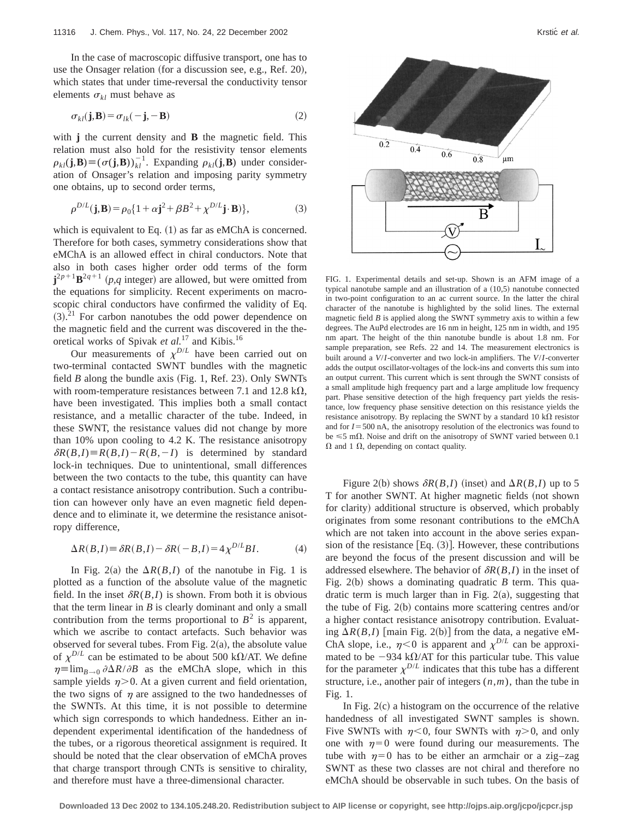In the case of macroscopic diffusive transport, one has to use the Onsager relation (for a discussion see, e.g., Ref. 20), which states that under time-reversal the conductivity tensor elements  $\sigma_{kl}$  must behave as

$$
\sigma_{kl}(\mathbf{j}, \mathbf{B}) = \sigma_{lk}(-\mathbf{j}, -\mathbf{B})
$$
 (2)

with **j** the current density and **B** the magnetic field. This relation must also hold for the resistivity tensor elements  $\rho_{kl}(\mathbf{j},\mathbf{B}) \equiv (\sigma(\mathbf{j},\mathbf{B}))_{kl}^{-1}$ . Expanding  $\rho_{kl}(\mathbf{j},\mathbf{B})$  under consideration of Onsager's relation and imposing parity symmetry one obtains, up to second order terms,

$$
\rho^{D/L}(\mathbf{j}, \mathbf{B}) = \rho_0 \{ 1 + \alpha \mathbf{j}^2 + \beta B^2 + \chi^{D/L} \mathbf{j} \cdot \mathbf{B} ) \},\tag{3}
$$

which is equivalent to Eq.  $(1)$  as far as eMChA is concerned. Therefore for both cases, symmetry considerations show that eMChA is an allowed effect in chiral conductors. Note that also in both cases higher order odd terms of the form  $j^{2p+1}B^{2q+1}$  (*p*,*q* integer) are allowed, but were omitted from the equations for simplicity. Recent experiments on macroscopic chiral conductors have confirmed the validity of Eq.  $(3).<sup>21</sup>$  For carbon nanotubes the odd power dependence on the magnetic field and the current was discovered in the theoretical works of Spivak *et al.*<sup>17</sup> and Kibis.16

Our measurements of  $\chi^{D/L}$  have been carried out on two-terminal contacted SWNT bundles with the magnetic field *B* along the bundle axis (Fig. 1, Ref. 23). Only SWNTs with room-temperature resistances between 7.1 and 12.8 k $\Omega$ , have been investigated. This implies both a small contact resistance, and a metallic character of the tube. Indeed, in these SWNT, the resistance values did not change by more than 10% upon cooling to 4.2 K. The resistance anisotropy  $\delta R(B,I) \equiv R(B,I) - R(B,-I)$  is determined by standard lock-in techniques. Due to unintentional, small differences between the two contacts to the tube, this quantity can have a contact resistance anisotropy contribution. Such a contribution can however only have an even magnetic field dependence and to eliminate it, we determine the resistance anisotropy difference,

$$
\Delta R(B,I) \equiv \delta R(B,I) - \delta R(-B,I) = 4\chi^{D/L} B I. \tag{4}
$$

In Fig. 2(a) the  $\Delta R(B,I)$  of the nanotube in Fig. 1 is plotted as a function of the absolute value of the magnetic field. In the inset  $\delta R(B,I)$  is shown. From both it is obvious that the term linear in  $B$  is clearly dominant and only a small contribution from the terms proportional to  $B^2$  is apparent, which we ascribe to contact artefacts. Such behavior was observed for several tubes. From Fig.  $2(a)$ , the absolute value of  $\chi^{D/L}$  can be estimated to be about 500 k $\Omega$ /AT. We define  $\eta \equiv \lim_{B\to 0} \partial \Delta R / \partial B$  as the eMChA slope, which in this sample yields  $\eta$  > 0. At a given current and field orientation, the two signs of  $\eta$  are assigned to the two handednesses of the SWNTs. At this time, it is not possible to determine which sign corresponds to which handedness. Either an independent experimental identification of the handedness of the tubes, or a rigorous theoretical assignment is required. It should be noted that the clear observation of eMChA proves that charge transport through CNTs is sensitive to chirality, and therefore must have a three-dimensional character.



FIG. 1. Experimental details and set-up. Shown is an AFM image of a typical nanotube sample and an illustration of a  $(10,5)$  nanotube connected in two-point configuration to an ac current source. In the latter the chiral character of the nanotube is highlighted by the solid lines. The external magnetic field *B* is applied along the SWNT symmetry axis to within a few degrees. The AuPd electrodes are 16 nm in height, 125 nm in width, and 195 nm apart. The height of the thin nanotube bundle is about 1.8 nm. For sample preparation, see Refs. 22 and 14. The measurement electronics is built around a *V*/*I*-converter and two lock-in amplifiers. The *V*/*I*-converter adds the output oscillator-voltages of the lock-ins and converts this sum into an output current. This current which is sent through the SWNT consists of a small amplitude high frequency part and a large amplitude low frequency part. Phase sensitive detection of the high frequency part yields the resistance, low frequency phase sensitive detection on this resistance yields the resistance anisotropy. By replacing the SWNT by a standard 10  $k\Omega$  resistor and for  $I = 500$  nA, the anisotropy resolution of the electronics was found to be  $\leq 5$  m $\Omega$ . Noise and drift on the anisotropy of SWNT varied between 0.1  $\Omega$  and 1  $\Omega$ , depending on contact quality.

Figure 2(b) shows  $\delta R(B,I)$  (inset) and  $\Delta R(B,I)$  up to 5 T for another SWNT. At higher magnetic fields (not shown for clarity) additional structure is observed, which probably originates from some resonant contributions to the eMChA which are not taken into account in the above series expansion of the resistance  $[Eq. (3)]$ . However, these contributions are beyond the focus of the present discussion and will be addressed elsewhere. The behavior of  $\delta R(B,I)$  in the inset of Fig.  $2(b)$  shows a dominating quadratic *B* term. This quadratic term is much larger than in Fig.  $2(a)$ , suggesting that the tube of Fig.  $2(b)$  contains more scattering centres and/or a higher contact resistance anisotropy contribution. Evaluating  $\Delta R(B,I)$  [main Fig. 2(b)] from the data, a negative eM-ChA slope, i.e.,  $\eta$ <0 is apparent and  $\chi^{D/L}$  can be approximated to be  $-934 \text{ k}\Omega/\text{AT}$  for this particular tube. This value for the parameter  $\chi^{D/L}$  indicates that this tube has a different structure, i.e., another pair of integers (*n*,*m*), than the tube in Fig. 1.

In Fig.  $2(c)$  a histogram on the occurrence of the relative handedness of all investigated SWNT samples is shown. Five SWNTs with  $n<0$ , four SWNTs with  $n>0$ , and only one with  $\eta=0$  were found during our measurements. The tube with  $\eta=0$  has to be either an armchair or a zig–zag SWNT as these two classes are not chiral and therefore no eMChA should be observable in such tubes. On the basis of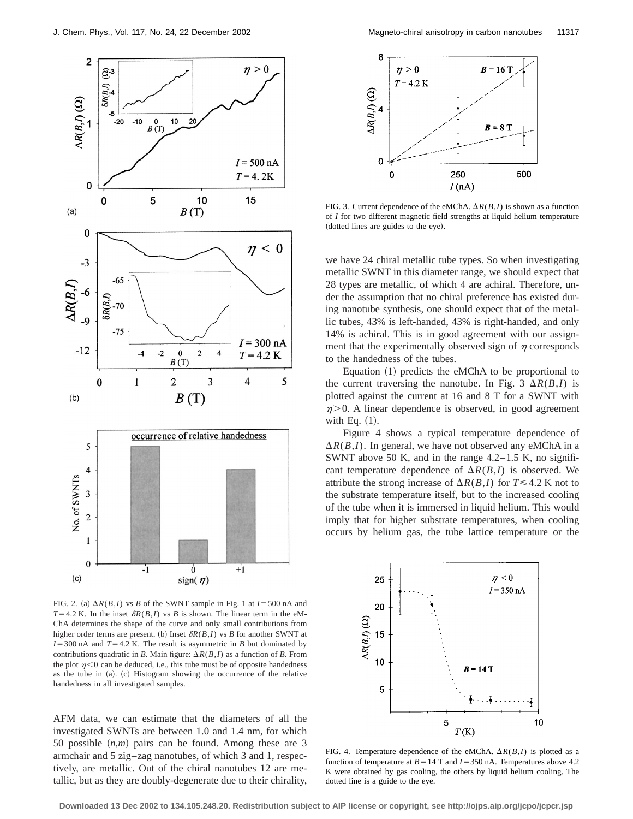

FIG. 2. (a)  $\Delta R(B,I)$  vs *B* of the SWNT sample in Fig. 1 at  $I = 500$  nA and  $T=4.2$  K. In the inset  $\delta R(B,I)$  vs *B* is shown. The linear term in the eM-ChA determines the shape of the curve and only small contributions from higher order terms are present. (b) Inset  $\delta R(B,I)$  vs *B* for another SWNT at  $I=300$  nA and  $T=4.2$  K. The result is asymmetric in *B* but dominated by contributions quadratic in *B*. Main figure:  $\Delta R(B,I)$  as a function of *B*. From the plot  $\eta$ <0 can be deduced, i.e., this tube must be of opposite handedness as the tube in  $(a)$ .  $(c)$  Histogram showing the occurrence of the relative handedness in all investigated samples.

AFM data, we can estimate that the diameters of all the investigated SWNTs are between 1.0 and 1.4 nm, for which 50 possible  $(n,m)$  pairs can be found. Among these are 3 armchair and 5 zig–zag nanotubes, of which 3 and 1, respectively, are metallic. Out of the chiral nanotubes 12 are metallic, but as they are doubly-degenerate due to their chirality,



FIG. 3. Current dependence of the eMChA.  $\Delta R(B,I)$  is shown as a function of *I* for two different magnetic field strengths at liquid helium temperature (dotted lines are guides to the eye).

we have 24 chiral metallic tube types. So when investigating metallic SWNT in this diameter range, we should expect that 28 types are metallic, of which 4 are achiral. Therefore, under the assumption that no chiral preference has existed during nanotube synthesis, one should expect that of the metallic tubes, 43% is left-handed, 43% is right-handed, and only 14% is achiral. This is in good agreement with our assignment that the experimentally observed sign of  $\eta$  corresponds to the handedness of the tubes.

Equation  $(1)$  predicts the eMChA to be proportional to the current traversing the nanotube. In Fig. 3  $\Delta R(B,I)$  is plotted against the current at 16 and 8 T for a SWNT with  $n > 0$ . A linear dependence is observed, in good agreement with Eq.  $(1)$ .

Figure 4 shows a typical temperature dependence of  $\Delta R(B,I)$ . In general, we have not observed any eMChA in a SWNT above 50 K, and in the range  $4.2-1.5$  K, no significant temperature dependence of  $\Delta R(B,I)$  is observed. We attribute the strong increase of  $\Delta R(B,I)$  for  $T \leq 4.2$  K not to the substrate temperature itself, but to the increased cooling of the tube when it is immersed in liquid helium. This would imply that for higher substrate temperatures, when cooling occurs by helium gas, the tube lattice temperature or the



FIG. 4. Temperature dependence of the eMChA.  $\Delta R(B,I)$  is plotted as a function of temperature at  $B = 14$  T and  $I = 350$  nA. Temperatures above 4.2 K were obtained by gas cooling, the others by liquid helium cooling. The dotted line is a guide to the eye.

**Downloaded 13 Dec 2002 to 134.105.248.20. Redistribution subject to AIP license or copyright, see http://ojps.aip.org/jcpo/jcpcr.jsp**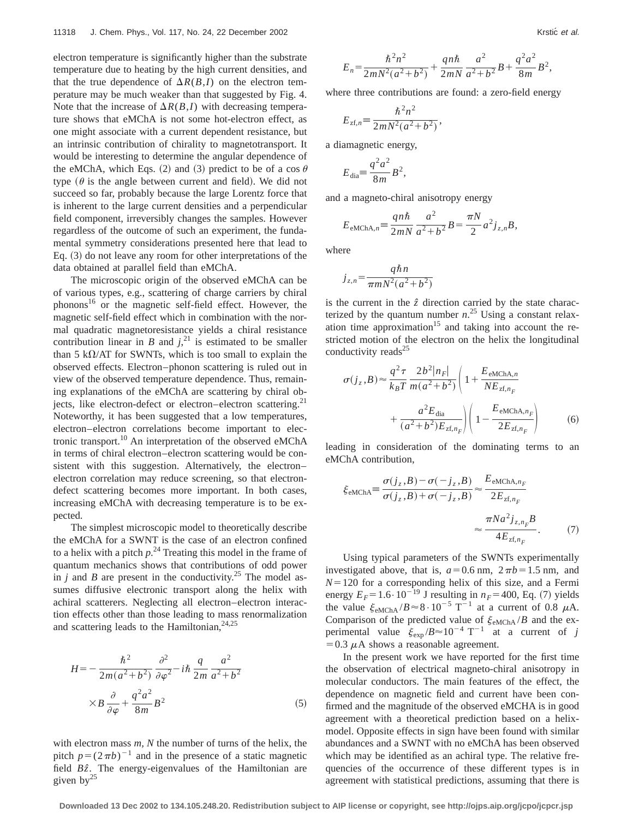electron temperature is significantly higher than the substrate temperature due to heating by the high current densities, and that the true dependence of  $\Delta R(B,I)$  on the electron temperature may be much weaker than that suggested by Fig. 4. Note that the increase of  $\Delta R(B,I)$  with decreasing temperature shows that eMChA is not some hot-electron effect, as one might associate with a current dependent resistance, but an intrinsic contribution of chirality to magnetotransport. It would be interesting to determine the angular dependence of the eMChA, which Eqs. (2) and (3) predict to be of a cos  $\theta$ type  $(\theta)$  is the angle between current and field). We did not succeed so far, probably because the large Lorentz force that is inherent to the large current densities and a perpendicular field component, irreversibly changes the samples. However regardless of the outcome of such an experiment, the fundamental symmetry considerations presented here that lead to Eq.  $(3)$  do not leave any room for other interpretations of the data obtained at parallel field than eMChA.

The microscopic origin of the observed eMChA can be of various types, e.g., scattering of charge carriers by chiral phonons<sup>16</sup> or the magnetic self-field effect. However, the magnetic self-field effect which in combination with the normal quadratic magnetoresistance yields a chiral resistance contribution linear in *B* and  $j^{21}$ , is estimated to be smaller than 5 k $\Omega$ /AT for SWNTs, which is too small to explain the observed effects. Electron–phonon scattering is ruled out in view of the observed temperature dependence. Thus, remaining explanations of the eMChA are scattering by chiral objects, like electron-defect or electron–electron scattering. $^{21}$ Noteworthy, it has been suggested that a low temperatures, electron–electron correlations become important to electronic transport.<sup>10</sup> An interpretation of the observed eMChA in terms of chiral electron–electron scattering would be consistent with this suggestion. Alternatively, the electron– electron correlation may reduce screening, so that electrondefect scattering becomes more important. In both cases, increasing eMChA with decreasing temperature is to be expected.

The simplest microscopic model to theoretically describe the eMChA for a SWNT is the case of an electron confined to a helix with a pitch  $p^{24}$  Treating this model in the frame of quantum mechanics shows that contributions of odd power in *j* and *B* are present in the conductivity.<sup>25</sup> The model assumes diffusive electronic transport along the helix with achiral scatterers. Neglecting all electron–electron interaction effects other than those leading to mass renormalization and scattering leads to the Hamiltonian,  $24,25$ 

$$
H = -\frac{\hbar^2}{2m(a^2 + b^2)} \frac{\partial^2}{\partial \varphi^2} - i\hbar \frac{q}{2m} \frac{a^2}{a^2 + b^2}
$$

$$
\times B \frac{\partial}{\partial \varphi} + \frac{q^2 a^2}{8m} B^2
$$
(5)

with electron mass *m, N* the number of turns of the helix, the pitch  $p=(2\pi b)^{-1}$  and in the presence of a static magnetic field *B* $\hat{z}$ . The energy-eigenvalues of the Hamiltonian are given by $^{25}$ 

$$
E_n = \frac{\hbar^2 n^2}{2mN^2(a^2 + b^2)} + \frac{qn\hbar}{2mN} \frac{a^2}{a^2 + b^2}B + \frac{q^2a^2}{8m}B^2,
$$

where three contributions are found: a zero-field energy

$$
E_{\mathrm{zf},n} \equiv \frac{\hbar^2 n^2}{2mN^2(a^2+b^2)},
$$

a diamagnetic energy,

$$
E_{\text{dia}} = \frac{q^2 a^2}{8m} B^2,
$$

and a magneto-chiral anisotropy energy

$$
E_{\text{eMChA},n} = \frac{qn\hbar}{2mN} \frac{a^2}{a^2 + b^2} B = \frac{\pi N}{2} a^2 j_{z,n} B,
$$

where

$$
j_{z,n} = \frac{q\hbar n}{\pi m N^2 (a^2 + b^2)}
$$

is the current in the *zˆ* direction carried by the state characterized by the quantum number  $n^{25}$  Using a constant relaxation time approximation<sup>15</sup> and taking into account the restricted motion of the electron on the helix the longitudinal conductivity reads $^{25}$ 

$$
\sigma(j_z, B) \approx \frac{q^2 \tau}{k_B T} \frac{2b^2 |n_F|}{m(a^2 + b^2)} \left( 1 + \frac{E_{\text{eMChA},n}}{NE_{\text{zf},n_F}} + \frac{a^2 E_{\text{dia}}}{(a^2 + b^2) E_{\text{zf},n_F}} \right) \left( 1 - \frac{E_{\text{eMChA},n_F}}{2E_{\text{zf},n_F}} \right) \tag{6}
$$

leading in consideration of the dominating terms to an eMChA contribution,

$$
\xi_{\text{eMChA}} \equiv \frac{\sigma(j_z, B) - \sigma(-j_z, B)}{\sigma(j_z, B) + \sigma(-j_z, B)} \approx \frac{E_{\text{eMChA}, n_F}}{2E_{zt, n_F}} \approx \frac{\pi N a^2 j_{z, n_F} B}{4E_{zt, n_F}}.
$$
 (7)

Using typical parameters of the SWNTs experimentally investigated above, that is,  $a=0.6$  nm,  $2\pi b=1.5$  nm, and  $N=120$  for a corresponding helix of this size, and a Fermi energy  $E_F = 1.6 \cdot 10^{-19}$  J resulting in  $n_F = 400$ , Eq. (7) yields the value  $\xi_{\text{eMChA}} / B \approx 8 \cdot 10^{-5} \text{ T}^{-1}$  at a current of 0.8  $\mu$ A. Comparison of the predicted value of  $\xi_{\text{eMChA}}/B$  and the experimental value  $\xi_{\rm exp}/B \approx 10^{-4} \text{ T}^{-1}$  at a current of *j*  $=0.3 \mu A$  shows a reasonable agreement.

In the present work we have reported for the first time the observation of electrical magneto-chiral anisotropy in molecular conductors. The main features of the effect, the dependence on magnetic field and current have been confirmed and the magnitude of the observed eMCHA is in good agreement with a theoretical prediction based on a helixmodel. Opposite effects in sign have been found with similar abundances and a SWNT with no eMChA has been observed which may be identified as an achiral type. The relative frequencies of the occurrence of these different types is in agreement with statistical predictions, assuming that there is

**Downloaded 13 Dec 2002 to 134.105.248.20. Redistribution subject to AIP license or copyright, see http://ojps.aip.org/jcpo/jcpcr.jsp**